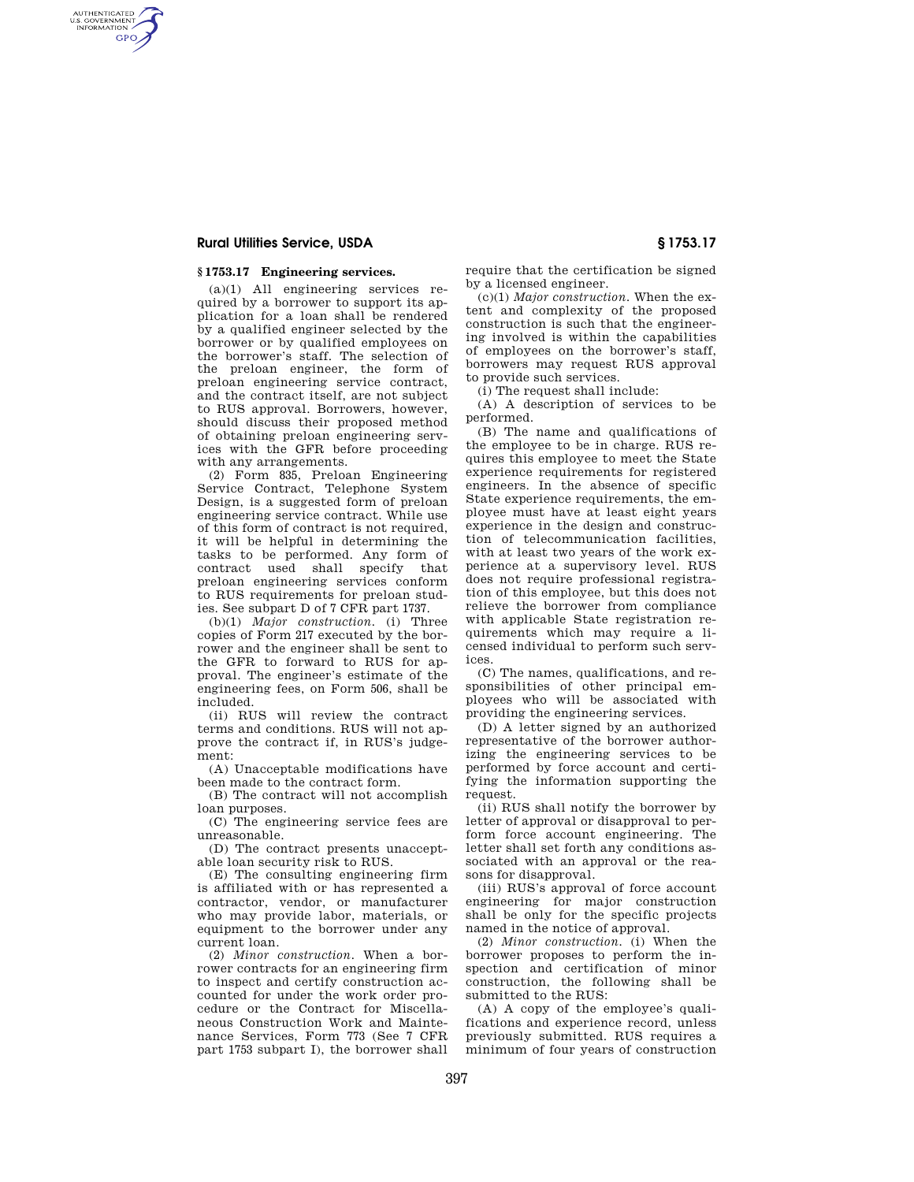### **Rural Utilities Service, USDA § 1753.17**

AUTHENTICATED<br>U.S. GOVERNMENT<br>INFORMATION **GPO** 

### **§ 1753.17 Engineering services.**

(a)(1) All engineering services required by a borrower to support its application for a loan shall be rendered by a qualified engineer selected by the borrower or by qualified employees on the borrower's staff. The selection of the preloan engineer, the form of preloan engineering service contract, and the contract itself, are not subject to RUS approval. Borrowers, however, should discuss their proposed method of obtaining preloan engineering services with the GFR before proceeding with any arrangements.

(2) Form 835, Preloan Engineering Service Contract, Telephone System Design, is a suggested form of preloan engineering service contract. While use of this form of contract is not required, it will be helpful in determining the tasks to be performed. Any form of contract used shall specify preloan engineering services conform to RUS requirements for preloan studies. See subpart D of 7 CFR part 1737.

(b)(1) *Major construction.* (i) Three copies of Form 217 executed by the borrower and the engineer shall be sent to the GFR to forward to RUS for approval. The engineer's estimate of the engineering fees, on Form 506, shall be included.

(ii) RUS will review the contract terms and conditions. RUS will not approve the contract if, in RUS's judgement:

(A) Unacceptable modifications have been made to the contract form.

(B) The contract will not accomplish loan purposes.

(C) The engineering service fees are unreasonable.

(D) The contract presents unacceptable loan security risk to RUS.

(E) The consulting engineering firm is affiliated with or has represented a contractor, vendor, or manufacturer who may provide labor, materials, or equipment to the borrower under any current loan.

(2) *Minor construction.* When a borrower contracts for an engineering firm to inspect and certify construction accounted for under the work order procedure or the Contract for Miscellaneous Construction Work and Maintenance Services, Form 773 (See 7 CFR part 1753 subpart I), the borrower shall require that the certification be signed by a licensed engineer.

(c)(1) *Major construction.* When the extent and complexity of the proposed construction is such that the engineering involved is within the capabilities of employees on the borrower's staff, borrowers may request RUS approval to provide such services.

(i) The request shall include:

(A) A description of services to be performed.

(B) The name and qualifications of the employee to be in charge. RUS requires this employee to meet the State experience requirements for registered engineers. In the absence of specific State experience requirements, the employee must have at least eight years experience in the design and construction of telecommunication facilities, with at least two years of the work experience at a supervisory level. RUS does not require professional registration of this employee, but this does not relieve the borrower from compliance with applicable State registration requirements which may require a licensed individual to perform such services.

(C) The names, qualifications, and responsibilities of other principal employees who will be associated with providing the engineering services.

(D) A letter signed by an authorized representative of the borrower authorizing the engineering services to be performed by force account and certifying the information supporting the request.

(ii) RUS shall notify the borrower by letter of approval or disapproval to perform force account engineering. The letter shall set forth any conditions associated with an approval or the reasons for disapproval.

(iii) RUS's approval of force account engineering for major construction shall be only for the specific projects named in the notice of approval.

(2) *Minor construction.* (i) When the borrower proposes to perform the inspection and certification of minor construction, the following shall be submitted to the RUS:

(A) A copy of the employee's qualifications and experience record, unless previously submitted. RUS requires a minimum of four years of construction